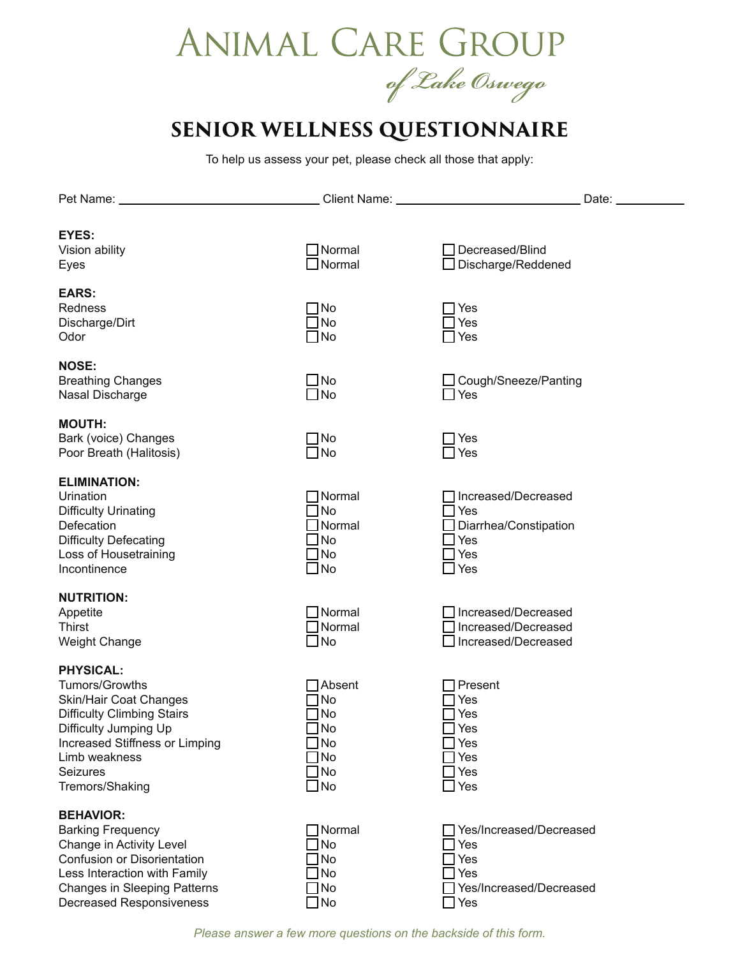## ANIMAL CARE GROUP of Lake Oswego

## **SENIOR WELLNESS QUESTIONNAIRE**

To help us assess your pet, please check all those that apply:

| Pet Name: _                       | Client Name: University of Client Name: | Date:                   |
|-----------------------------------|-----------------------------------------|-------------------------|
|                                   |                                         |                         |
| <b>EYES:</b>                      |                                         |                         |
| Vision ability                    | Normal                                  | Decreased/Blind         |
| Eyes                              | Normal                                  | Discharge/Reddened      |
|                                   |                                         |                         |
| <b>EARS:</b>                      |                                         |                         |
| Redness                           | ]No                                     | Yes                     |
| Discharge/Dirt                    | No                                      | Yes                     |
| Odor                              | No                                      | Yes                     |
|                                   |                                         |                         |
| <b>NOSE:</b>                      |                                         |                         |
| <b>Breathing Changes</b>          | $\Box$ No                               | Cough/Sneeze/Panting    |
| Nasal Discharge                   | $\Box$ No                               | $\Box$ Yes              |
| <b>MOUTH:</b>                     |                                         |                         |
| Bark (voice) Changes              | $\Box$ No                               | Yes                     |
| Poor Breath (Halitosis)           | $\Box$ No                               | Yes                     |
|                                   |                                         |                         |
| <b>ELIMINATION:</b>               |                                         |                         |
| Urination                         | Normal                                  | Increased/Decreased     |
| <b>Difficulty Urinating</b>       | <b>No</b>                               | Yes                     |
| Defecation                        | Normal                                  | Diarrhea/Constipation   |
| <b>Difficulty Defecating</b>      | No                                      | Yes                     |
| Loss of Housetraining             | No                                      | Yes                     |
| Incontinence                      | $\Box$ No                               | Yes                     |
| <b>NUTRITION:</b>                 |                                         |                         |
| Appetite                          | Normal                                  | Increased/Decreased     |
| <b>Thirst</b>                     | Normal                                  | Increased/Decreased     |
| <b>Weight Change</b>              | $\exists$ No                            | Increased/Decreased     |
|                                   |                                         |                         |
| <b>PHYSICAL:</b>                  |                                         |                         |
| Tumors/Growths                    | Absent                                  | Present                 |
| Skin/Hair Coat Changes            | No                                      | Yes                     |
| <b>Difficulty Climbing Stairs</b> | No                                      | Yes                     |
| Difficulty Jumping Up             | ]No                                     | Yes                     |
| Increased Stiffness or Limping    | No                                      | Yes                     |
| Limb weakness                     | No                                      | Yes                     |
| <b>Seizures</b>                   | <b>No</b>                               | Yes                     |
| Tremors/Shaking                   | ∃No                                     | Yes                     |
| <b>BEHAVIOR:</b>                  |                                         |                         |
| <b>Barking Frequency</b>          | Normal                                  | Yes/Increased/Decreased |
| Change in Activity Level          | No                                      | Yes                     |
| Confusion or Disorientation       | No                                      | Yes                     |
| Less Interaction with Family      | No                                      | Yes                     |
| Changes in Sleeping Patterns      | No                                      | Yes/Increased/Decreased |
| <b>Decreased Responsiveness</b>   | No                                      | Yes                     |

*Please answer a few more questions on the backside of this form.*